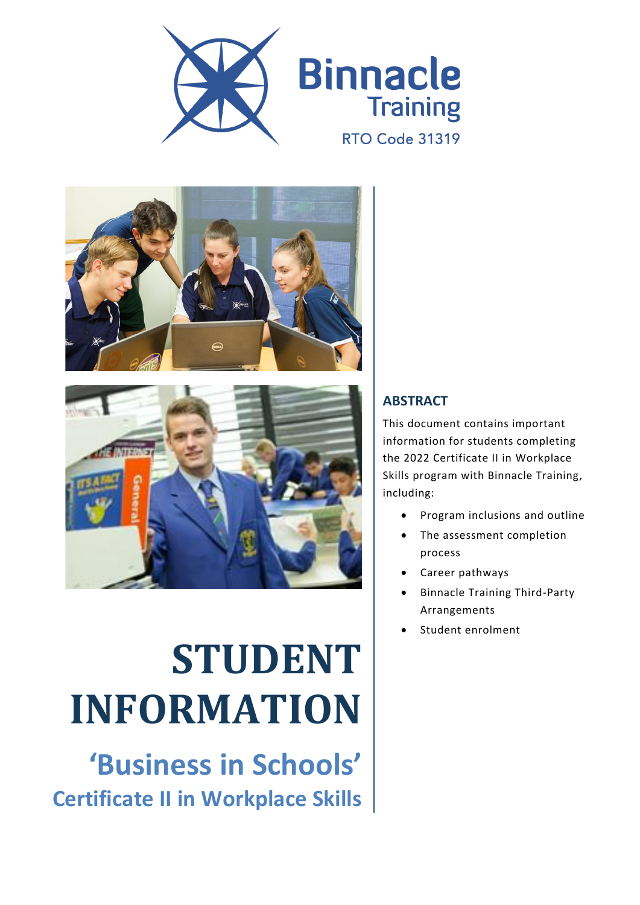





# **STUDENT INFORMATION**

**'Business in Schools' Certificate II in Workplace Skills**

#### **ABSTRACT**

This document contains important information for students completing the 2022 Certificate II in Workplace Skills program with Binnacle Training, including:

- Program inclusions and outline
- The assessment completion process
- Career pathways
- Binnacle Training Third-Party Arrangements
- Student enrolment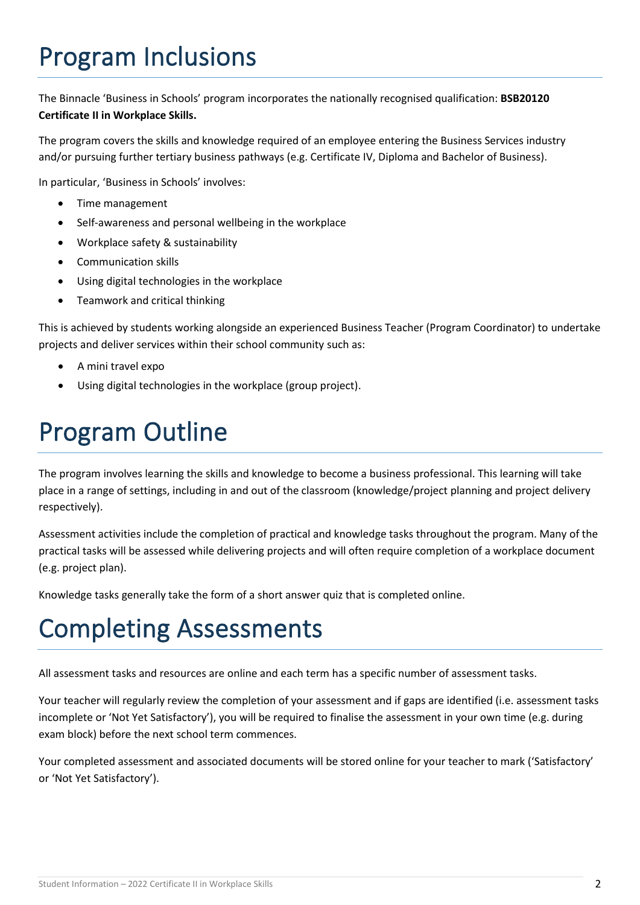# Program Inclusions

The Binnacle 'Business in Schools' program incorporates the nationally recognised qualification: **BSB20120 Certificate II in Workplace Skills.**

The program covers the skills and knowledge required of an employee entering the Business Services industry and/or pursuing further tertiary business pathways (e.g. Certificate IV, Diploma and Bachelor of Business).

In particular, 'Business in Schools' involves:

- Time management
- Self-awareness and personal wellbeing in the workplace
- Workplace safety & sustainability
- Communication skills
- Using digital technologies in the workplace
- Teamwork and critical thinking

This is achieved by students working alongside an experienced Business Teacher (Program Coordinator) to undertake projects and deliver services within their school community such as:

- A mini travel expo
- Using digital technologies in the workplace (group project).

## Program Outline

The program involves learning the skills and knowledge to become a business professional. This learning will take place in a range of settings, including in and out of the classroom (knowledge/project planning and project delivery respectively).

Assessment activities include the completion of practical and knowledge tasks throughout the program. Many of the practical tasks will be assessed while delivering projects and will often require completion of a workplace document (e.g. project plan).

Knowledge tasks generally take the form of a short answer quiz that is completed online.

#### Completing Assessments

All assessment tasks and resources are online and each term has a specific number of assessment tasks.

Your teacher will regularly review the completion of your assessment and if gaps are identified (i.e. assessment tasks incomplete or 'Not Yet Satisfactory'), you will be required to finalise the assessment in your own time (e.g. during exam block) before the next school term commences.

Your completed assessment and associated documents will be stored online for your teacher to mark ('Satisfactory' or 'Not Yet Satisfactory').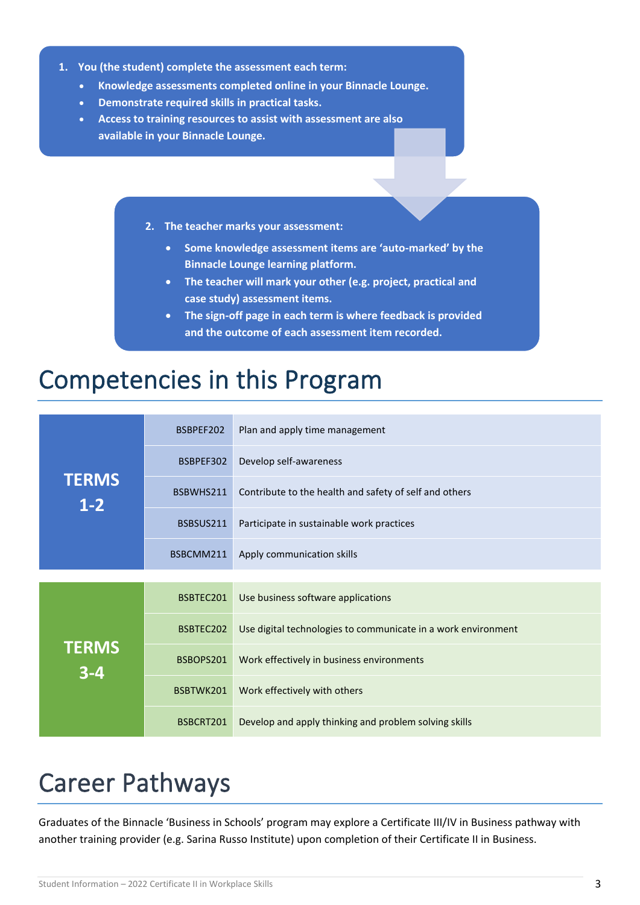- **1. You (the student) complete the assessment each term:**
	- **Knowledge assessments completed online in your Binnacle Lounge.**
	- **Demonstrate required skills in practical tasks.**
	- **Access to training resources to assist with assessment are also available in your Binnacle Lounge.**
		- **2. The teacher marks your assessment:**
			- **Some knowledge assessment items are 'auto-marked' by the Binnacle Lounge learning platform.**
			- **The teacher will mark your other (e.g. project, practical and case study) assessment items.**
			- **The sign-off page in each term is where feedback is provided and the outcome of each assessment item recorded.**

#### Competencies in this Program

| <b>TERMS</b><br>$1 - 2$ | BSBPEF202 | Plan and apply time management                                |  |
|-------------------------|-----------|---------------------------------------------------------------|--|
|                         | BSBPEF302 | Develop self-awareness                                        |  |
|                         | BSBWHS211 | Contribute to the health and safety of self and others        |  |
|                         | BSBSUS211 | Participate in sustainable work practices                     |  |
|                         | BSBCMM211 | Apply communication skills                                    |  |
|                         |           |                                                               |  |
| <b>TERMS</b><br>$3 - 4$ | BSBTEC201 | Use business software applications                            |  |
|                         | BSBTEC202 | Use digital technologies to communicate in a work environment |  |
|                         | BSBOPS201 | Work effectively in business environments                     |  |
|                         | BSBTWK201 | Work effectively with others                                  |  |
|                         | BSBCRT201 | Develop and apply thinking and problem solving skills         |  |

#### Career Pathways

Graduates of the Binnacle 'Business in Schools' program may explore a Certificate III/IV in Business pathway with another training provider (e.g. Sarina Russo Institute) upon completion of their Certificate II in Business.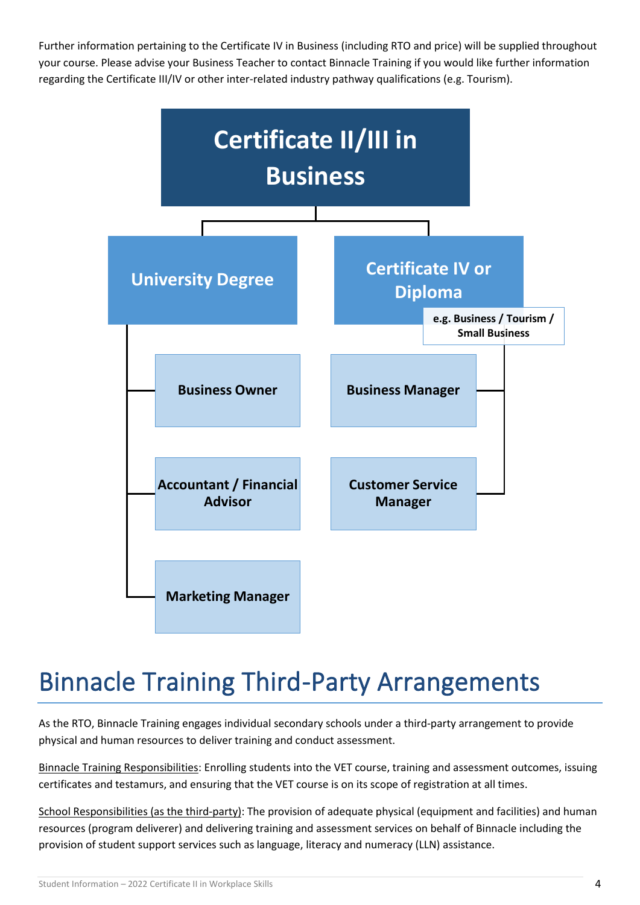Further information pertaining to the Certificate IV in Business (including RTO and price) will be supplied throughout your course. Please advise your Business Teacher to contact Binnacle Training if you would like further information regarding the Certificate III/IV or other inter-related industry pathway qualifications (e.g. Tourism).



### Binnacle Training Third-Party Arrangements

As the RTO, Binnacle Training engages individual secondary schools under a third-party arrangement to provide physical and human resources to deliver training and conduct assessment.

Binnacle Training Responsibilities: Enrolling students into the VET course, training and assessment outcomes, issuing certificates and testamurs, and ensuring that the VET course is on its scope of registration at all times.

School Responsibilities (as the third-party): The provision of adequate physical (equipment and facilities) and human resources (program deliverer) and delivering training and assessment services on behalf of Binnacle including the provision of student support services such as language, literacy and numeracy (LLN) assistance.